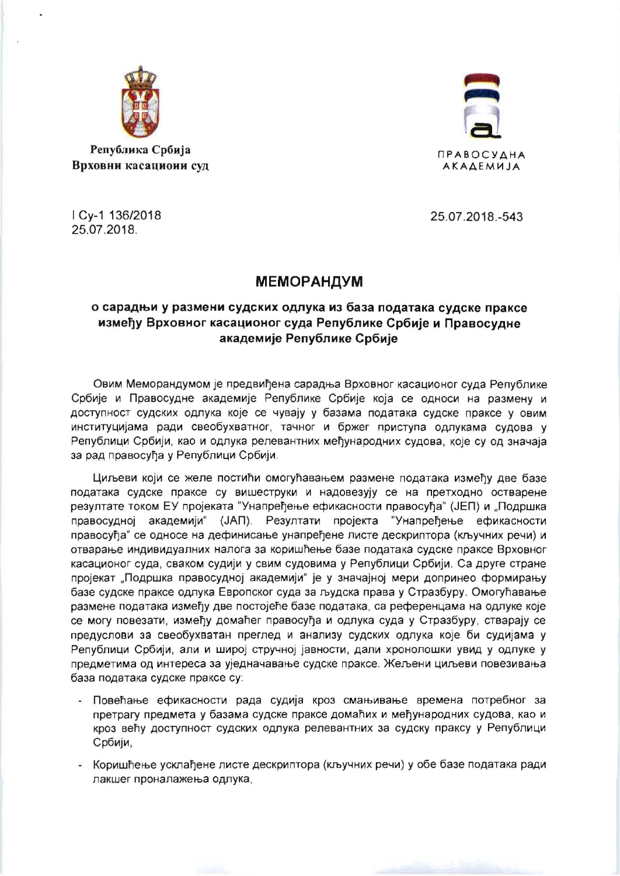

Република Србија Врховни касациоии суд



I Cy-1 136/2018 25.07.2018.

25.07.2018.-543

## **МЕМОРАНДУМ**

## о сарадњи у размени судских одлука из база података судске праксе између Врховног касационог суда Републике Србије и Правосудне академије Републике Србије

Овим Меморандумом је предвиђена сарадња Врховног касационог суда Републике Србије и Правосудне академије Републике Србије која се односи на размену и доступност судских одлука које се чувају у базама података судске праксе у овим институцијама ради свеобухватног, тачног и бржег приступа одлукама судова у Републици Србији, као и одлука релевантних међународних судова, које су од значаја за рад правосуђа у Републици Србији.

Циљеви који се желе постићи омогућавањем размене података између две базе података судске праксе су вишеструки и надовезују се на претходно остварене резултате током ЕУ пројеката "Унапређење ефикасности правосуђа" (ЈЕП) и "Подршка правосудној академији" (ЈАП). Резултати пројекта "Унапређење ефикасности правосућа" се односе на дефинисање унапређене листе дескриптора (кључних речи) и отварање индивидуалних налога за коришћење базе података судске праксе Врховног касационог суда, сваком судији у свим судовима у Републици Србији. Са друге стране пројекат "Подршка правосудној академији" је у значајној мери допринео формирању базе судске праксе одлука Европског суда за људска права у Стразбуру. Омогућавање размене података између две постојеће базе података, са референцама на одлуке које се могу повезати, између домаћег правосуђа и одлука суда у Стразбуру, стварају се предуслови за свеобухватан преглед и анализу судских одлука које би судијама у Републици Србији, али и широј стручној јавности, дали хронолошки увид у одлуке у предметима од интереса за уједначавање судске праксе. Жељени циљеви повезивања база података судске праксе су:

- Повећање ефикасности рада судија кроз смањивање времена потребног за претрагу предмета у базама судске праксе домаћих и међународних судова, као и кроз већу доступност судских одлука релевантних за судску праксу у Републици Србији,
- Коришћење усклађене листе дескриптора (кључних речи) у обе базе података ради лакшег проналажења одлука,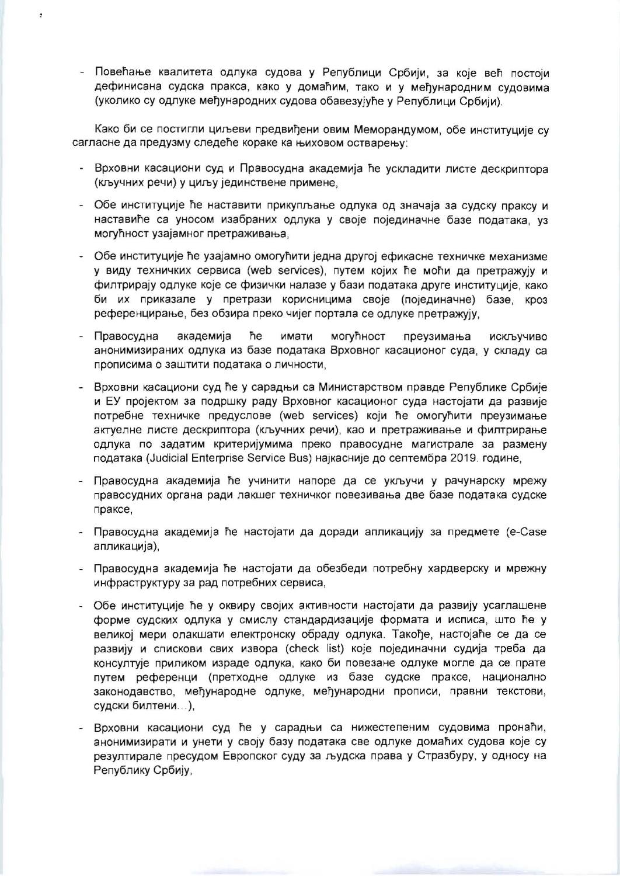- Повећање квалитета одлука судова у Републици Србији, за које већ постоји дефинисана судска пракса, како у домаћим, тако и у међународним судовима (уколико су одлуке међународних судова обавезујуће у Републици Србији).

ä

Како би се постигли циљеви предвиђени овим Меморандумом, обе институције су сагласне да предузму следеће кораке ка њиховом остварењу:

- Врховни касациони суд и Правосудна академија ће ускладити листе дескриптора (кључних речи) у циљу јединствене примене,
- Обе институције ће наставити прикупљање одлука од значаја за судску праксу и наставиће са уносом изабраних одлука у своје појединачне базе података, уз могућност узајамног претраживања,
- Обе институције ће узајамно омогућити једна другој ефикасне техничке механизме у виду техничких сервиса (web services), путем којих ће моћи да претражују и филтрирају одлуке које се физички налазе у бази података друге институције, како би их приказале у претрази корисницима своје (појединачне) базе, кроз референцирање, без обзира преко чијег портала се одлуке претражују,
- Правосудна академија ħе имати могућност преузимања ИСКЉУЧИВО анонимизираних одлука из базе података Врховног касационог суда, у складу са прописима о заштити података о личности,
- Врховни касациони суд ће у сарадњи са Министарством правде Републике Србије и ЕУ пројектом за подршку раду Врховног касационог суда настојати да развије потребне техничке предуслове (web services) који ће омогућити преузимање актуелне листе дескриптора (кључних речи), као и претраживање и филтрирање одлука по задатим критеријумима преко правосудне магистрале за размену података (Judicial Enterprise Service Bus) најкасније до септембра 2019. године,
- Правосудна академија ће учинити напоре да се укључи у рачунарску мрежу правосудних органа ради лакшег техничког повезивања две базе података судске праксе,
- Правосудна академија ће настојати да доради апликацију за предмете (e-Case апликација),
- Правосудна академија ће настојати да обезбеди потребну хардверску и мрежну инфраструктуру за рад потребних сервиса,
- Обе институције ће у оквиру својих активности настојати да развију усаглашене форме судских одлука у смислу стандардизације формата и исписа, што ће у великој мери олакшати електронску обраду одлука. Такође, настојаће се да се развију и спискови свих извора (check list) које појединачни судија треба да консултује приликом израде одлука, како би повезане одлуке могле да се прате путем референци (претходне одлуке из базе судске праксе, национално законодавство, међународне одлуке, међународни прописи, правни текстови, судски билтени...),
- Врховни касациони суд ће у сарадњи са нижестепеним судовима пронаћи, анонимизирати и унети у своју базу података све одлуке домаћих судова које су резултирале пресудом Европског суду за људска права у Стразбуру, у односу на Републику Србију,